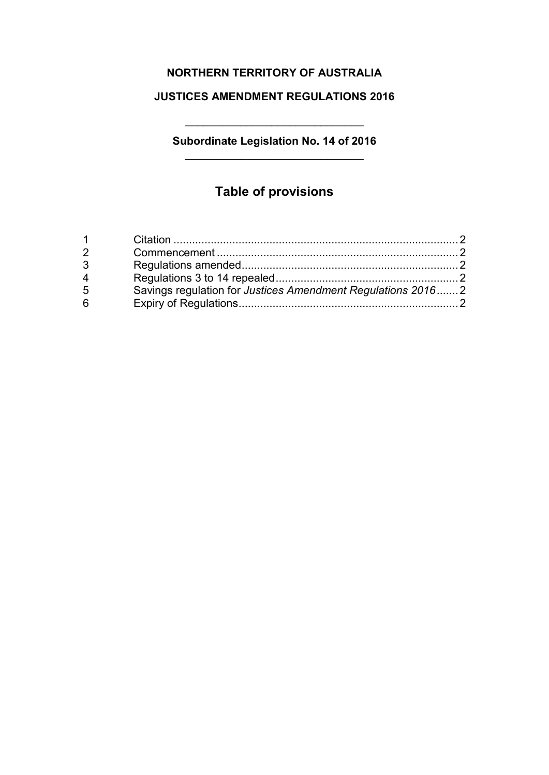## **NORTHERN TERRITORY OF AUSTRALIA**

## **JUSTICES AMENDMENT REGULATIONS 2016**

## **Subordinate Legislation No. 14 of 2016** \_\_\_\_\_\_\_\_\_\_\_\_\_\_\_\_\_\_\_\_\_\_\_\_\_\_\_\_\_

\_\_\_\_\_\_\_\_\_\_\_\_\_\_\_\_\_\_\_\_\_\_\_\_\_\_\_\_\_

# **Table of provisions**

| $\blacktriangleleft$ |                                                             |  |
|----------------------|-------------------------------------------------------------|--|
|                      |                                                             |  |
| 3                    |                                                             |  |
| $\overline{4}$       |                                                             |  |
| 5                    | Savings regulation for Justices Amendment Regulations 20162 |  |
| 6                    |                                                             |  |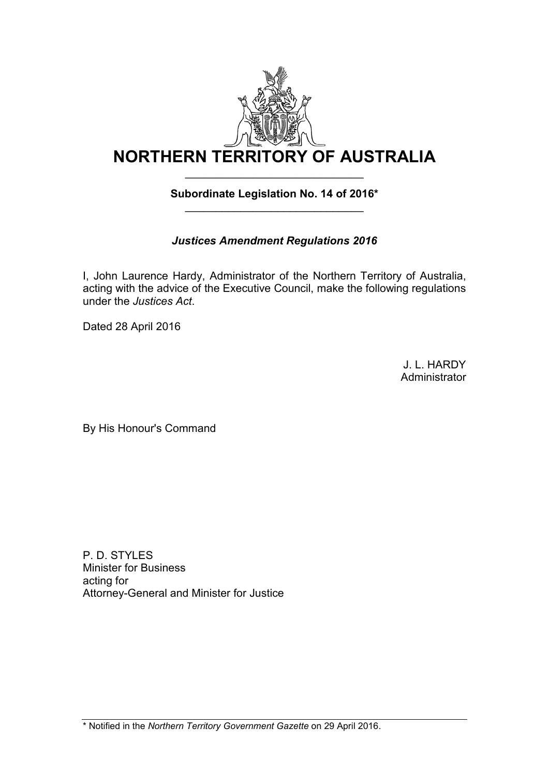

## **Subordinate Legislation No. 14 of 2016\*** \_\_\_\_\_\_\_\_\_\_\_\_\_\_\_\_\_\_\_\_\_\_\_\_\_\_\_\_\_

## *Justices Amendment Regulations 2016*

I, John Laurence Hardy, Administrator of the Northern Territory of Australia, acting with the advice of the Executive Council, make the following regulations under the *Justices Act*.

Dated 28 April 2016

J. L. HARDY Administrator

By His Honour's Command

P. D. STYLES Minister for Business acting for Attorney-General and Minister for Justice

\* Notified in the *Northern Territory Government Gazette* on 29 April 2016.